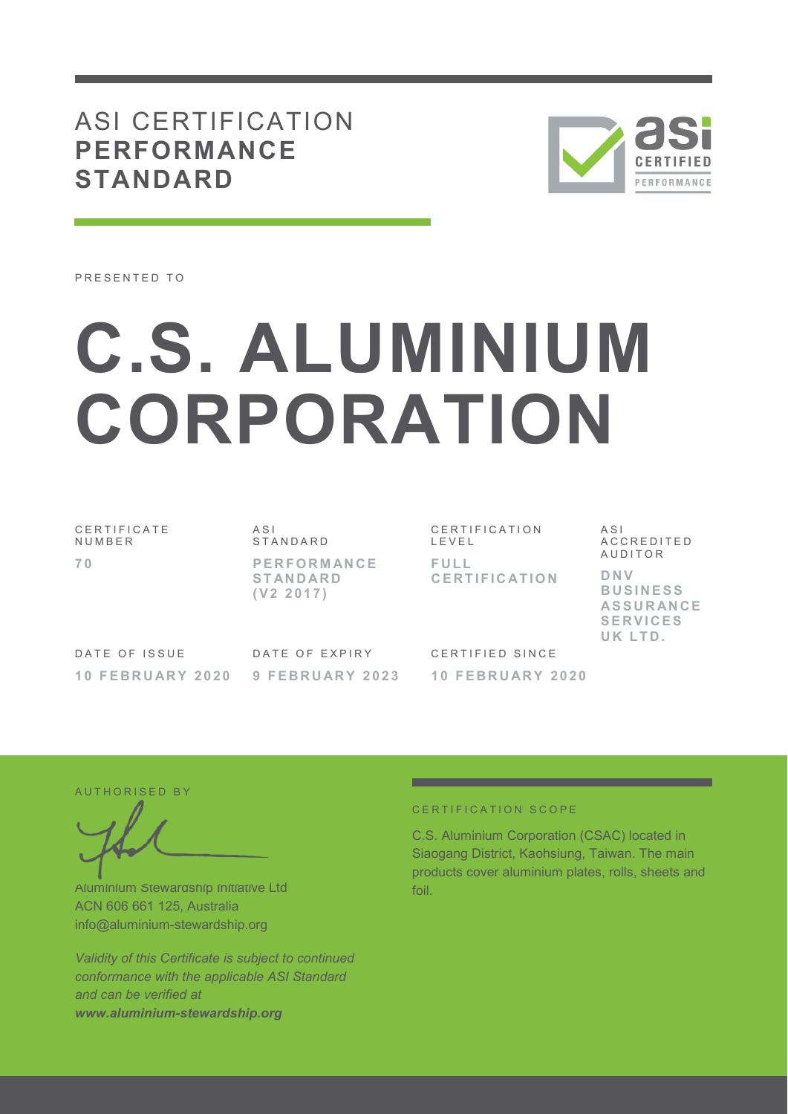# ASI CERTIFICATION **PERFORMANCE STANDARD**



PRESENTED TO

# **C.S. ALUMINIUM CORPORATION**

C E R T I F I C A T E N U M B E R

**7 0** 

A S I **STANDARD P E R F O R M AN C E S T AN D AR D ( V 2 2 0 1 7 )** 

CERTIFICATION L E V E L **F U L L C E R T I F I C AT I O N**  A S I A C C R E D I T E D **AUDITOR** 

**D N V B U S I N E S S AS S U R AN C E S E R V I C E S U K L T D .**

DATE OF ISSUE **1 0 F E B R U AR Y 2 0 2 0**  DATE OF EXPIRY **9 F E B R U AR Y 2 0 2 3** 

CERTIFIED SINCE **1 0 F E B R U AR Y 2 0 2 0** 

AUTHORISED BY

Aluminium Stewardship Initiative Ltd ACN 606 661 125, Australia info@aluminium-stewardship.org

*Validity of this Certificate is subject to continued conformance with the applicable ASI Standard and can be verified at www.aluminium-stewardship.org*

#### C F R T I F I C A T I O N S C O P F

C.S. Aluminium Corporation (CSAC) located in Siaogang District, Kaohsiung, Taiwan. The main products cover aluminium plates, rolls, sheets and foil.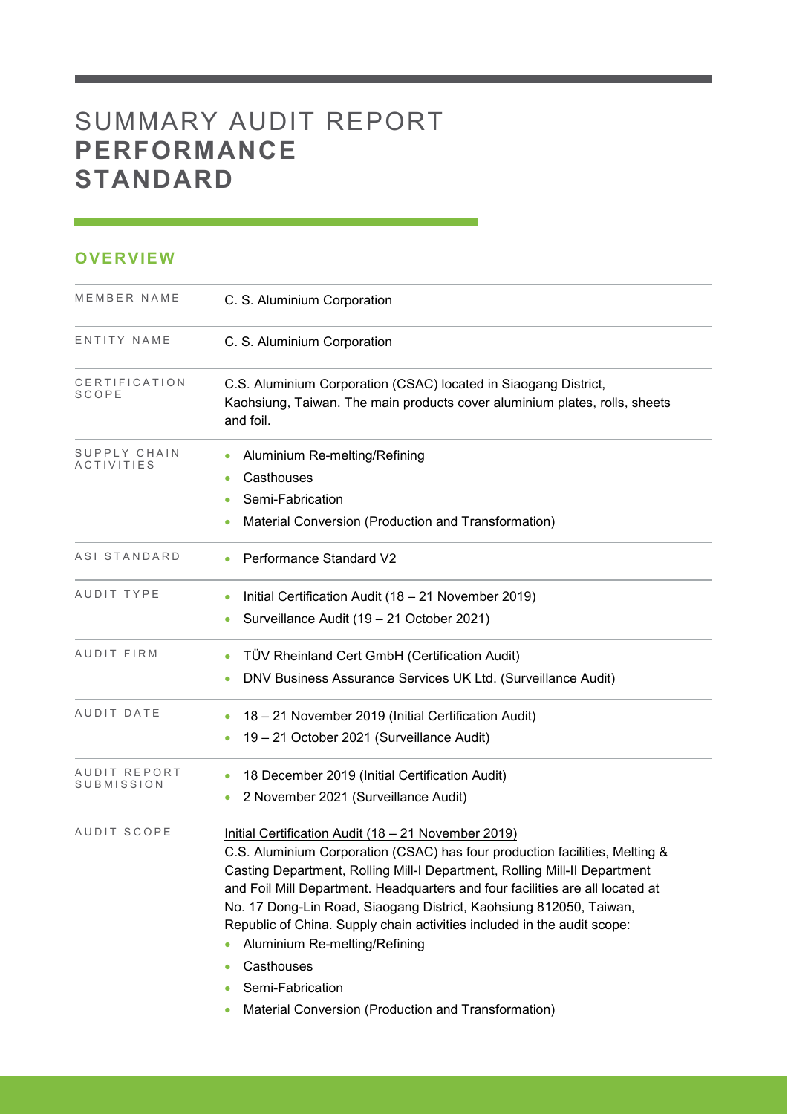# SUMMARY AUDIT REPORT **PERFORMANCE STANDARD**

## **OVERVIEW**

| MEMBER NAME                   | C. S. Aluminium Corporation                                                                                                                                                                                                                                                                                                                                                                                                                                                                                                                                                 |
|-------------------------------|-----------------------------------------------------------------------------------------------------------------------------------------------------------------------------------------------------------------------------------------------------------------------------------------------------------------------------------------------------------------------------------------------------------------------------------------------------------------------------------------------------------------------------------------------------------------------------|
| ENTITY NAME                   | C. S. Aluminium Corporation                                                                                                                                                                                                                                                                                                                                                                                                                                                                                                                                                 |
| CERTIFICATION<br><b>SCOPE</b> | C.S. Aluminium Corporation (CSAC) located in Siaogang District,<br>Kaohsiung, Taiwan. The main products cover aluminium plates, rolls, sheets<br>and foil.                                                                                                                                                                                                                                                                                                                                                                                                                  |
| SUPPLY CHAIN<br>ACTIVITIES    | Aluminium Re-melting/Refining<br>Casthouses<br>۰<br>Semi-Fabrication<br>Material Conversion (Production and Transformation)                                                                                                                                                                                                                                                                                                                                                                                                                                                 |
| ASI STANDARD                  | Performance Standard V2                                                                                                                                                                                                                                                                                                                                                                                                                                                                                                                                                     |
| AUDIT TYPE                    | Initial Certification Audit (18 - 21 November 2019)<br>Surveillance Audit (19 - 21 October 2021)                                                                                                                                                                                                                                                                                                                                                                                                                                                                            |
| AUDIT FIRM                    | TÜV Rheinland Cert GmbH (Certification Audit)<br>DNV Business Assurance Services UK Ltd. (Surveillance Audit)                                                                                                                                                                                                                                                                                                                                                                                                                                                               |
| AUDIT DATE                    | 18 - 21 November 2019 (Initial Certification Audit)<br>19 - 21 October 2021 (Surveillance Audit)                                                                                                                                                                                                                                                                                                                                                                                                                                                                            |
| AUDIT REPORT<br>SUBMISSION    | 18 December 2019 (Initial Certification Audit)<br>2 November 2021 (Surveillance Audit)                                                                                                                                                                                                                                                                                                                                                                                                                                                                                      |
| AUDIT SCOPE                   | Initial Certification Audit (18 - 21 November 2019)<br>C.S. Aluminium Corporation (CSAC) has four production facilities, Melting &<br>Casting Department, Rolling Mill-I Department, Rolling Mill-II Department<br>and Foil Mill Department. Headquarters and four facilities are all located at<br>No. 17 Dong-Lin Road, Siaogang District, Kaohsiung 812050, Taiwan,<br>Republic of China. Supply chain activities included in the audit scope:<br>Aluminium Re-melting/Refining<br>Casthouses<br>Semi-Fabrication<br>Material Conversion (Production and Transformation) |

and the control of the control of the control of the control of the control of the control of the control of the control of the control of the control of the control of the control of the control of the control of the cont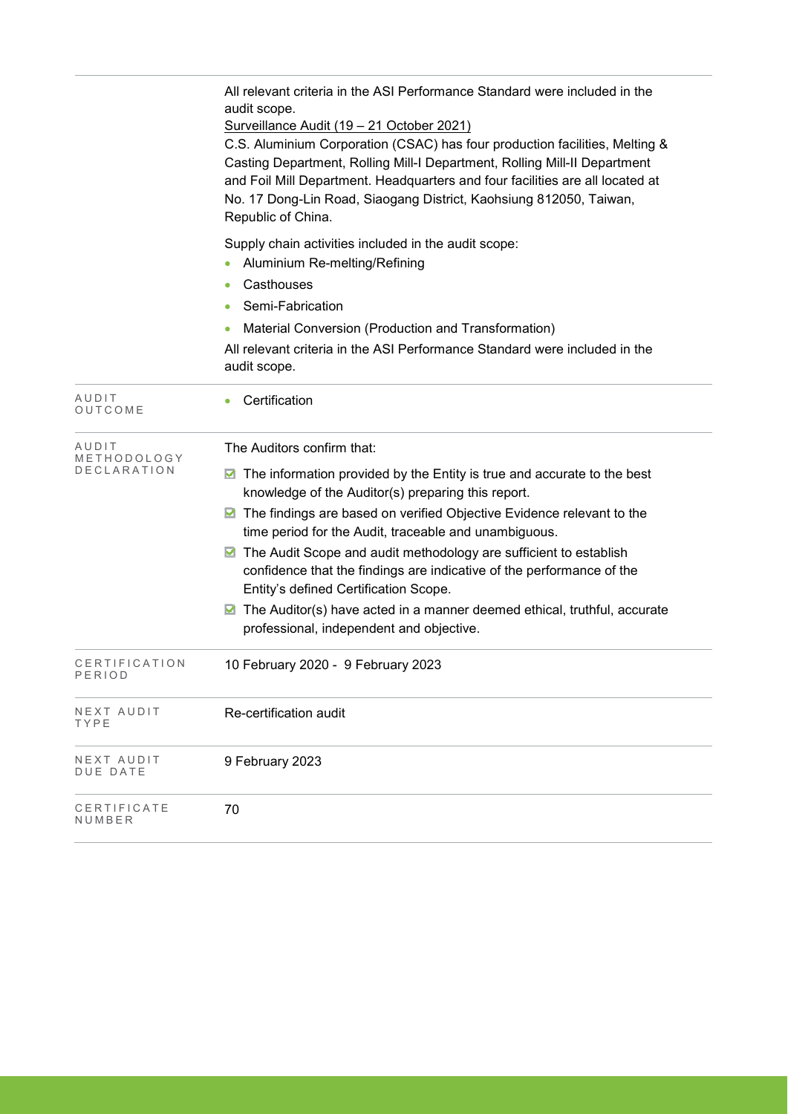|                                     | All relevant criteria in the ASI Performance Standard were included in the<br>audit scope.<br>Surveillance Audit (19 - 21 October 2021)<br>C.S. Aluminium Corporation (CSAC) has four production facilities, Melting &<br>Casting Department, Rolling Mill-I Department, Rolling Mill-II Department<br>and Foil Mill Department. Headquarters and four facilities are all located at<br>No. 17 Dong-Lin Road, Siaogang District, Kaohsiung 812050, Taiwan,<br>Republic of China. |
|-------------------------------------|----------------------------------------------------------------------------------------------------------------------------------------------------------------------------------------------------------------------------------------------------------------------------------------------------------------------------------------------------------------------------------------------------------------------------------------------------------------------------------|
|                                     | Supply chain activities included in the audit scope:                                                                                                                                                                                                                                                                                                                                                                                                                             |
|                                     | Aluminium Re-melting/Refining<br>Casthouses                                                                                                                                                                                                                                                                                                                                                                                                                                      |
|                                     | Semi-Fabrication<br>۰                                                                                                                                                                                                                                                                                                                                                                                                                                                            |
|                                     | Material Conversion (Production and Transformation)                                                                                                                                                                                                                                                                                                                                                                                                                              |
|                                     | All relevant criteria in the ASI Performance Standard were included in the<br>audit scope.                                                                                                                                                                                                                                                                                                                                                                                       |
| AUDIT<br>OUTCOME                    | Certification<br>۰                                                                                                                                                                                                                                                                                                                                                                                                                                                               |
| AUDIT<br>METHODOLOGY<br>DECLARATION | The Auditors confirm that:                                                                                                                                                                                                                                                                                                                                                                                                                                                       |
|                                     | The information provided by the Entity is true and accurate to the best<br>M<br>knowledge of the Auditor(s) preparing this report.                                                                                                                                                                                                                                                                                                                                               |
|                                     | The findings are based on verified Objective Evidence relevant to the<br>M<br>time period for the Audit, traceable and unambiguous.                                                                                                                                                                                                                                                                                                                                              |
|                                     | The Audit Scope and audit methodology are sufficient to establish<br>M<br>confidence that the findings are indicative of the performance of the<br>Entity's defined Certification Scope.                                                                                                                                                                                                                                                                                         |
|                                     | The Auditor(s) have acted in a manner deemed ethical, truthful, accurate<br>M<br>professional, independent and objective.                                                                                                                                                                                                                                                                                                                                                        |
| CERTIFICATION<br>PERIOD             | 10 February 2020 - 9 February 2023                                                                                                                                                                                                                                                                                                                                                                                                                                               |
| NEXT AUDIT<br>TYPE                  | Re-certification audit                                                                                                                                                                                                                                                                                                                                                                                                                                                           |
| NEXT AUDIT<br>DUE DATE              | 9 February 2023                                                                                                                                                                                                                                                                                                                                                                                                                                                                  |
| CERTIFICATE<br>NUMBER               | 70                                                                                                                                                                                                                                                                                                                                                                                                                                                                               |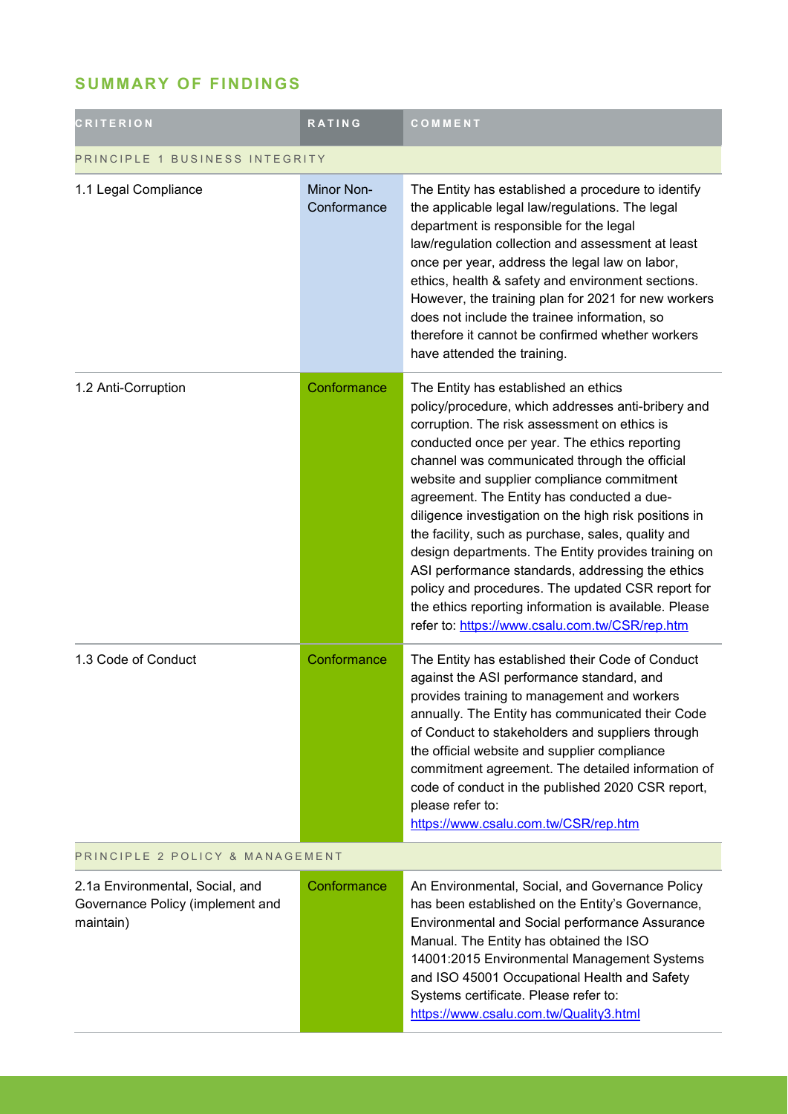## **SUMMARY OF FINDINGS**

| <b>CRITERION</b>                                                                 | <b>RATING</b>             | COMMENT                                                                                                                                                                                                                                                                                                                                                                                                                                                                                                                                                                                                                                                                                                                            |  |
|----------------------------------------------------------------------------------|---------------------------|------------------------------------------------------------------------------------------------------------------------------------------------------------------------------------------------------------------------------------------------------------------------------------------------------------------------------------------------------------------------------------------------------------------------------------------------------------------------------------------------------------------------------------------------------------------------------------------------------------------------------------------------------------------------------------------------------------------------------------|--|
| PRINCIPLE 1 BUSINESS INTEGRITY                                                   |                           |                                                                                                                                                                                                                                                                                                                                                                                                                                                                                                                                                                                                                                                                                                                                    |  |
| 1.1 Legal Compliance                                                             | Minor Non-<br>Conformance | The Entity has established a procedure to identify<br>the applicable legal law/regulations. The legal<br>department is responsible for the legal<br>law/regulation collection and assessment at least<br>once per year, address the legal law on labor,<br>ethics, health & safety and environment sections.<br>However, the training plan for 2021 for new workers<br>does not include the trainee information, so<br>therefore it cannot be confirmed whether workers<br>have attended the training.                                                                                                                                                                                                                             |  |
| 1.2 Anti-Corruption                                                              | Conformance               | The Entity has established an ethics<br>policy/procedure, which addresses anti-bribery and<br>corruption. The risk assessment on ethics is<br>conducted once per year. The ethics reporting<br>channel was communicated through the official<br>website and supplier compliance commitment<br>agreement. The Entity has conducted a due-<br>diligence investigation on the high risk positions in<br>the facility, such as purchase, sales, quality and<br>design departments. The Entity provides training on<br>ASI performance standards, addressing the ethics<br>policy and procedures. The updated CSR report for<br>the ethics reporting information is available. Please<br>refer to: https://www.csalu.com.tw/CSR/rep.htm |  |
| 1.3 Code of Conduct                                                              | Conformance               | The Entity has established their Code of Conduct<br>against the ASI performance standard, and<br>provides training to management and workers<br>annually. The Entity has communicated their Code<br>of Conduct to stakeholders and suppliers through<br>the official website and supplier compliance<br>commitment agreement. The detailed information of<br>code of conduct in the published 2020 CSR report,<br>please refer to:<br>https://www.csalu.com.tw/CSR/rep.htm                                                                                                                                                                                                                                                         |  |
| PRINCIPLE 2 POLICY & MANAGEMENT                                                  |                           |                                                                                                                                                                                                                                                                                                                                                                                                                                                                                                                                                                                                                                                                                                                                    |  |
| 2.1a Environmental, Social, and<br>Governance Policy (implement and<br>maintain) | Conformance               | An Environmental, Social, and Governance Policy<br>has been established on the Entity's Governance,<br>Environmental and Social performance Assurance<br>Manual. The Entity has obtained the ISO<br>14001:2015 Environmental Management Systems<br>and ISO 45001 Occupational Health and Safety<br>Systems certificate. Please refer to:<br>https://www.csalu.com.tw/Quality3.html                                                                                                                                                                                                                                                                                                                                                 |  |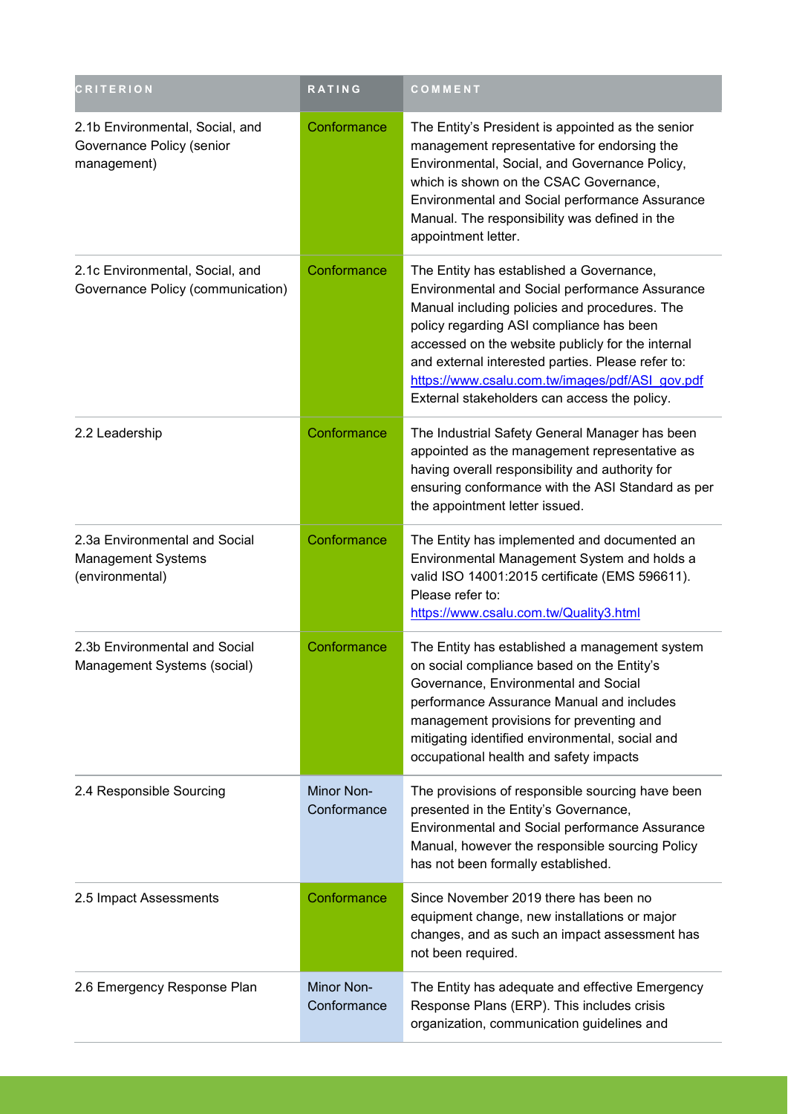| <b>CRITERION</b>                                                            | RATING                    | COMMENT                                                                                                                                                                                                                                                                                                                                                                                              |
|-----------------------------------------------------------------------------|---------------------------|------------------------------------------------------------------------------------------------------------------------------------------------------------------------------------------------------------------------------------------------------------------------------------------------------------------------------------------------------------------------------------------------------|
| 2.1b Environmental, Social, and<br>Governance Policy (senior<br>management) | Conformance               | The Entity's President is appointed as the senior<br>management representative for endorsing the<br>Environmental, Social, and Governance Policy,<br>which is shown on the CSAC Governance,<br>Environmental and Social performance Assurance<br>Manual. The responsibility was defined in the<br>appointment letter.                                                                                |
| 2.1c Environmental, Social, and<br>Governance Policy (communication)        | Conformance               | The Entity has established a Governance,<br>Environmental and Social performance Assurance<br>Manual including policies and procedures. The<br>policy regarding ASI compliance has been<br>accessed on the website publicly for the internal<br>and external interested parties. Please refer to:<br>https://www.csalu.com.tw/images/pdf/ASI_gov.pdf<br>External stakeholders can access the policy. |
| 2.2 Leadership                                                              | Conformance               | The Industrial Safety General Manager has been<br>appointed as the management representative as<br>having overall responsibility and authority for<br>ensuring conformance with the ASI Standard as per<br>the appointment letter issued.                                                                                                                                                            |
| 2.3a Environmental and Social<br>Management Systems<br>(environmental)      | Conformance               | The Entity has implemented and documented an<br>Environmental Management System and holds a<br>valid ISO 14001:2015 certificate (EMS 596611).<br>Please refer to:<br>https://www.csalu.com.tw/Quality3.html                                                                                                                                                                                          |
| 2.3b Environmental and Social<br>Management Systems (social)                | Conformance               | The Entity has established a management system<br>on social compliance based on the Entity's<br>Governance, Environmental and Social<br>performance Assurance Manual and includes<br>management provisions for preventing and<br>mitigating identified environmental, social and<br>occupational health and safety impacts                                                                           |
| 2.4 Responsible Sourcing                                                    | Minor Non-<br>Conformance | The provisions of responsible sourcing have been<br>presented in the Entity's Governance,<br>Environmental and Social performance Assurance<br>Manual, however the responsible sourcing Policy<br>has not been formally established.                                                                                                                                                                 |
| 2.5 Impact Assessments                                                      | Conformance               | Since November 2019 there has been no<br>equipment change, new installations or major<br>changes, and as such an impact assessment has<br>not been required.                                                                                                                                                                                                                                         |
| 2.6 Emergency Response Plan                                                 | Minor Non-<br>Conformance | The Entity has adequate and effective Emergency<br>Response Plans (ERP). This includes crisis<br>organization, communication guidelines and                                                                                                                                                                                                                                                          |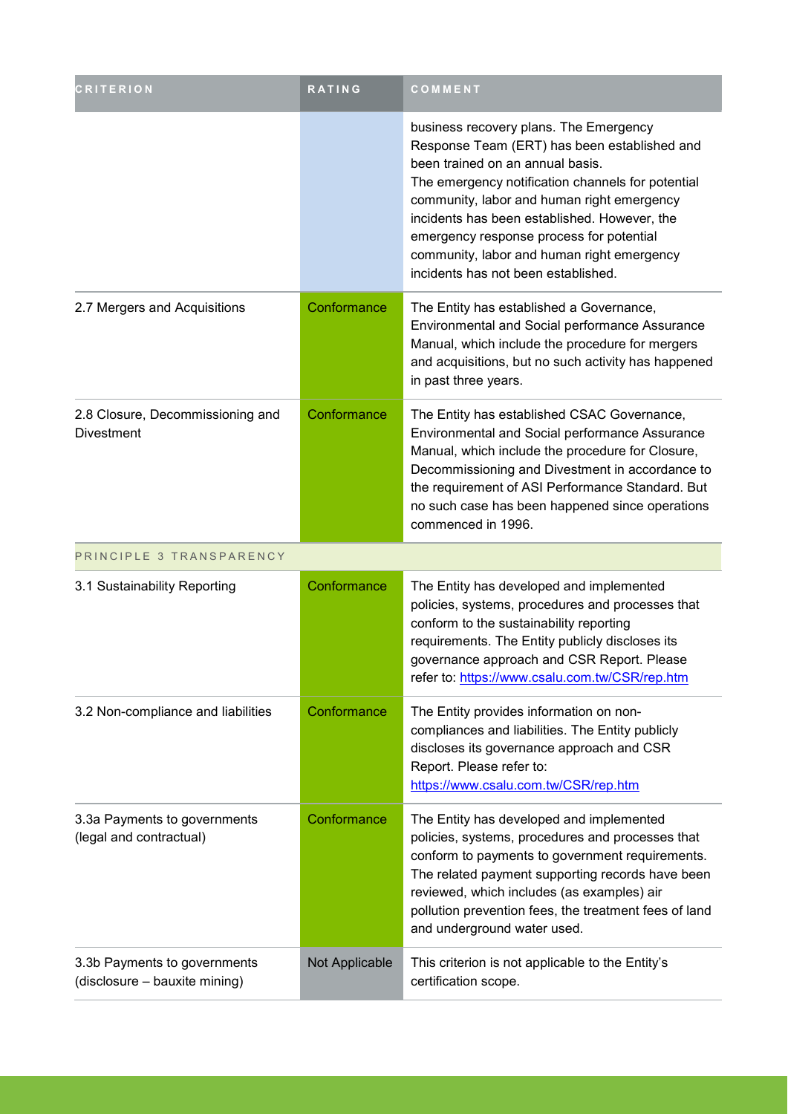| <b>CRITERION</b>                                              | <b>RATING</b>  | COMMENT                                                                                                                                                                                                                                                                                                                                                                                                        |
|---------------------------------------------------------------|----------------|----------------------------------------------------------------------------------------------------------------------------------------------------------------------------------------------------------------------------------------------------------------------------------------------------------------------------------------------------------------------------------------------------------------|
|                                                               |                | business recovery plans. The Emergency<br>Response Team (ERT) has been established and<br>been trained on an annual basis.<br>The emergency notification channels for potential<br>community, labor and human right emergency<br>incidents has been established. However, the<br>emergency response process for potential<br>community, labor and human right emergency<br>incidents has not been established. |
| 2.7 Mergers and Acquisitions                                  | Conformance    | The Entity has established a Governance,<br>Environmental and Social performance Assurance<br>Manual, which include the procedure for mergers<br>and acquisitions, but no such activity has happened<br>in past three years.                                                                                                                                                                                   |
| 2.8 Closure, Decommissioning and<br><b>Divestment</b>         | Conformance    | The Entity has established CSAC Governance,<br>Environmental and Social performance Assurance<br>Manual, which include the procedure for Closure,<br>Decommissioning and Divestment in accordance to<br>the requirement of ASI Performance Standard. But<br>no such case has been happened since operations<br>commenced in 1996.                                                                              |
| PRINCIPLE 3 TRANSPARENCY                                      |                |                                                                                                                                                                                                                                                                                                                                                                                                                |
| 3.1 Sustainability Reporting                                  | Conformance    | The Entity has developed and implemented<br>policies, systems, procedures and processes that<br>conform to the sustainability reporting<br>requirements. The Entity publicly discloses its<br>governance approach and CSR Report. Please<br>refer to: https://www.csalu.com.tw/CSR/rep.htm                                                                                                                     |
| 3.2 Non-compliance and liabilities                            | Conformance    | The Entity provides information on non-<br>compliances and liabilities. The Entity publicly<br>discloses its governance approach and CSR<br>Report. Please refer to:<br>https://www.csalu.com.tw/CSR/rep.htm                                                                                                                                                                                                   |
| 3.3a Payments to governments<br>(legal and contractual)       | Conformance    | The Entity has developed and implemented<br>policies, systems, procedures and processes that<br>conform to payments to government requirements.<br>The related payment supporting records have been<br>reviewed, which includes (as examples) air<br>pollution prevention fees, the treatment fees of land<br>and underground water used.                                                                      |
| 3.3b Payments to governments<br>(disclosure - bauxite mining) | Not Applicable | This criterion is not applicable to the Entity's<br>certification scope.                                                                                                                                                                                                                                                                                                                                       |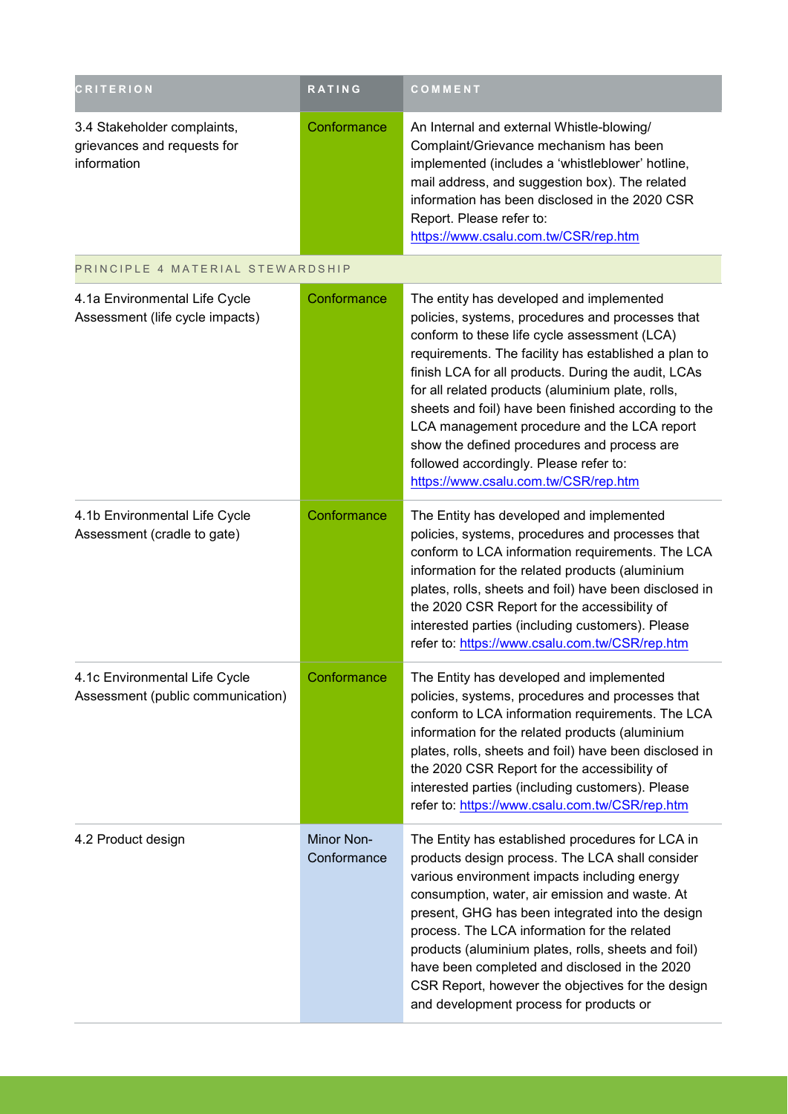| <b>CRITERION</b>                                                          | RATING                    | COMMENT                                                                                                                                                                                                                                                                                                                                                                                                                                                                                                                                                  |
|---------------------------------------------------------------------------|---------------------------|----------------------------------------------------------------------------------------------------------------------------------------------------------------------------------------------------------------------------------------------------------------------------------------------------------------------------------------------------------------------------------------------------------------------------------------------------------------------------------------------------------------------------------------------------------|
| 3.4 Stakeholder complaints,<br>grievances and requests for<br>information | Conformance               | An Internal and external Whistle-blowing/<br>Complaint/Grievance mechanism has been<br>implemented (includes a 'whistleblower' hotline,<br>mail address, and suggestion box). The related<br>information has been disclosed in the 2020 CSR<br>Report. Please refer to:<br>https://www.csalu.com.tw/CSR/rep.htm                                                                                                                                                                                                                                          |
| PRINCIPLE 4 MATERIAL STEWARDSHIP                                          |                           |                                                                                                                                                                                                                                                                                                                                                                                                                                                                                                                                                          |
| 4.1a Environmental Life Cycle<br>Assessment (life cycle impacts)          | Conformance               | The entity has developed and implemented<br>policies, systems, procedures and processes that<br>conform to these life cycle assessment (LCA)<br>requirements. The facility has established a plan to<br>finish LCA for all products. During the audit, LCAs<br>for all related products (aluminium plate, rolls,<br>sheets and foil) have been finished according to the<br>LCA management procedure and the LCA report<br>show the defined procedures and process are<br>followed accordingly. Please refer to:<br>https://www.csalu.com.tw/CSR/rep.htm |
| 4.1b Environmental Life Cycle<br>Assessment (cradle to gate)              | Conformance               | The Entity has developed and implemented<br>policies, systems, procedures and processes that<br>conform to LCA information requirements. The LCA<br>information for the related products (aluminium<br>plates, rolls, sheets and foil) have been disclosed in<br>the 2020 CSR Report for the accessibility of<br>interested parties (including customers). Please<br>refer to: https://www.csalu.com.tw/CSR/rep.htm                                                                                                                                      |
| 4.1c Environmental Life Cycle<br>Assessment (public communication)        | Conformance               | The Entity has developed and implemented<br>policies, systems, procedures and processes that<br>conform to LCA information requirements. The LCA<br>information for the related products (aluminium<br>plates, rolls, sheets and foil) have been disclosed in<br>the 2020 CSR Report for the accessibility of<br>interested parties (including customers). Please<br>refer to: https://www.csalu.com.tw/CSR/rep.htm                                                                                                                                      |
| 4.2 Product design                                                        | Minor Non-<br>Conformance | The Entity has established procedures for LCA in<br>products design process. The LCA shall consider<br>various environment impacts including energy<br>consumption, water, air emission and waste. At<br>present, GHG has been integrated into the design<br>process. The LCA information for the related<br>products (aluminium plates, rolls, sheets and foil)<br>have been completed and disclosed in the 2020<br>CSR Report, however the objectives for the design<br>and development process for products or                                        |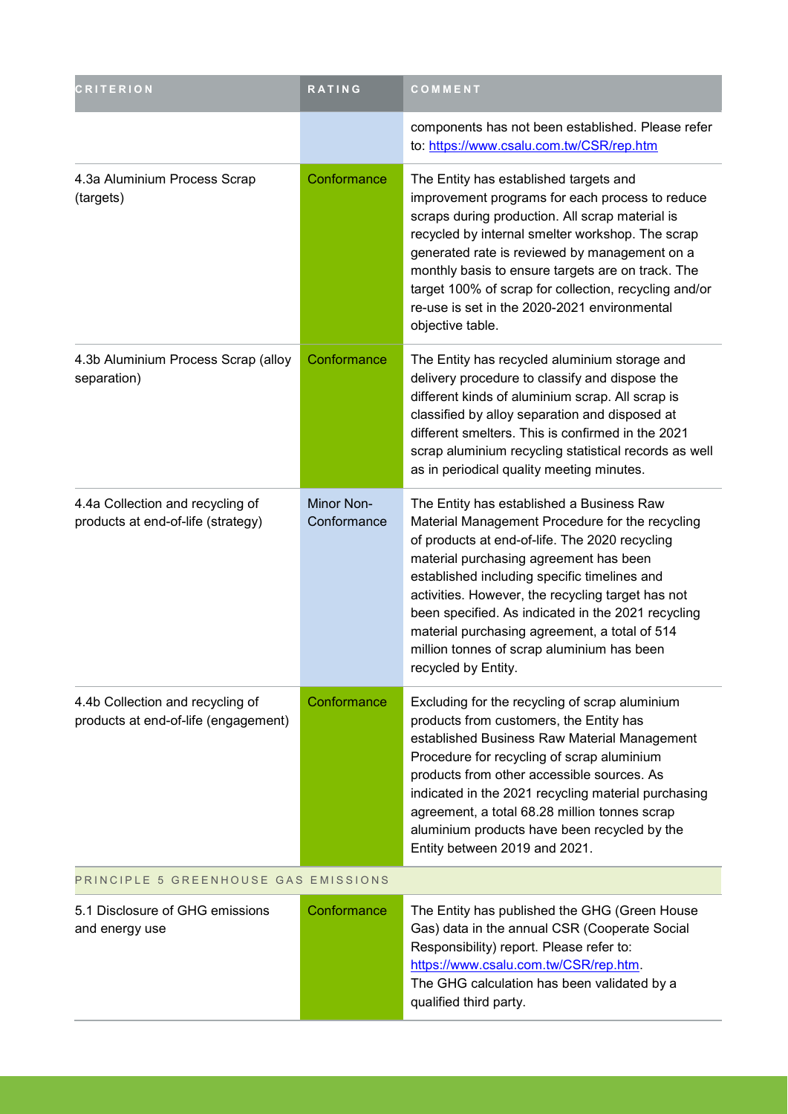| <b>CRITERION</b>                                                         | <b>RATING</b>             | COMMENT                                                                                                                                                                                                                                                                                                                                                                                                                                                                   |  |
|--------------------------------------------------------------------------|---------------------------|---------------------------------------------------------------------------------------------------------------------------------------------------------------------------------------------------------------------------------------------------------------------------------------------------------------------------------------------------------------------------------------------------------------------------------------------------------------------------|--|
|                                                                          |                           | components has not been established. Please refer<br>to: https://www.csalu.com.tw/CSR/rep.htm                                                                                                                                                                                                                                                                                                                                                                             |  |
| 4.3a Aluminium Process Scrap<br>(targets)                                | Conformance               | The Entity has established targets and<br>improvement programs for each process to reduce<br>scraps during production. All scrap material is<br>recycled by internal smelter workshop. The scrap<br>generated rate is reviewed by management on a<br>monthly basis to ensure targets are on track. The<br>target 100% of scrap for collection, recycling and/or<br>re-use is set in the 2020-2021 environmental<br>objective table.                                       |  |
| 4.3b Aluminium Process Scrap (alloy<br>separation)                       | Conformance               | The Entity has recycled aluminium storage and<br>delivery procedure to classify and dispose the<br>different kinds of aluminium scrap. All scrap is<br>classified by alloy separation and disposed at<br>different smelters. This is confirmed in the 2021<br>scrap aluminium recycling statistical records as well<br>as in periodical quality meeting minutes.                                                                                                          |  |
| 4.4a Collection and recycling of<br>products at end-of-life (strategy)   | Minor Non-<br>Conformance | The Entity has established a Business Raw<br>Material Management Procedure for the recycling<br>of products at end-of-life. The 2020 recycling<br>material purchasing agreement has been<br>established including specific timelines and<br>activities. However, the recycling target has not<br>been specified. As indicated in the 2021 recycling<br>material purchasing agreement, a total of 514<br>million tonnes of scrap aluminium has been<br>recycled by Entity. |  |
| 4.4b Collection and recycling of<br>products at end-of-life (engagement) | Conformance               | Excluding for the recycling of scrap aluminium<br>products from customers, the Entity has<br>established Business Raw Material Management<br>Procedure for recycling of scrap aluminium<br>products from other accessible sources. As<br>indicated in the 2021 recycling material purchasing<br>agreement, a total 68.28 million tonnes scrap<br>aluminium products have been recycled by the<br>Entity between 2019 and 2021.                                            |  |
| PRINCIPLE 5 GREENHOUSE GAS EMISSIONS                                     |                           |                                                                                                                                                                                                                                                                                                                                                                                                                                                                           |  |
| 5.1 Disclosure of GHG emissions<br>and energy use                        | Conformance               | The Entity has published the GHG (Green House<br>Gas) data in the annual CSR (Cooperate Social<br>Responsibility) report. Please refer to:<br>https://www.csalu.com.tw/CSR/rep.htm.<br>The GHG calculation has been validated by a<br>qualified third party.                                                                                                                                                                                                              |  |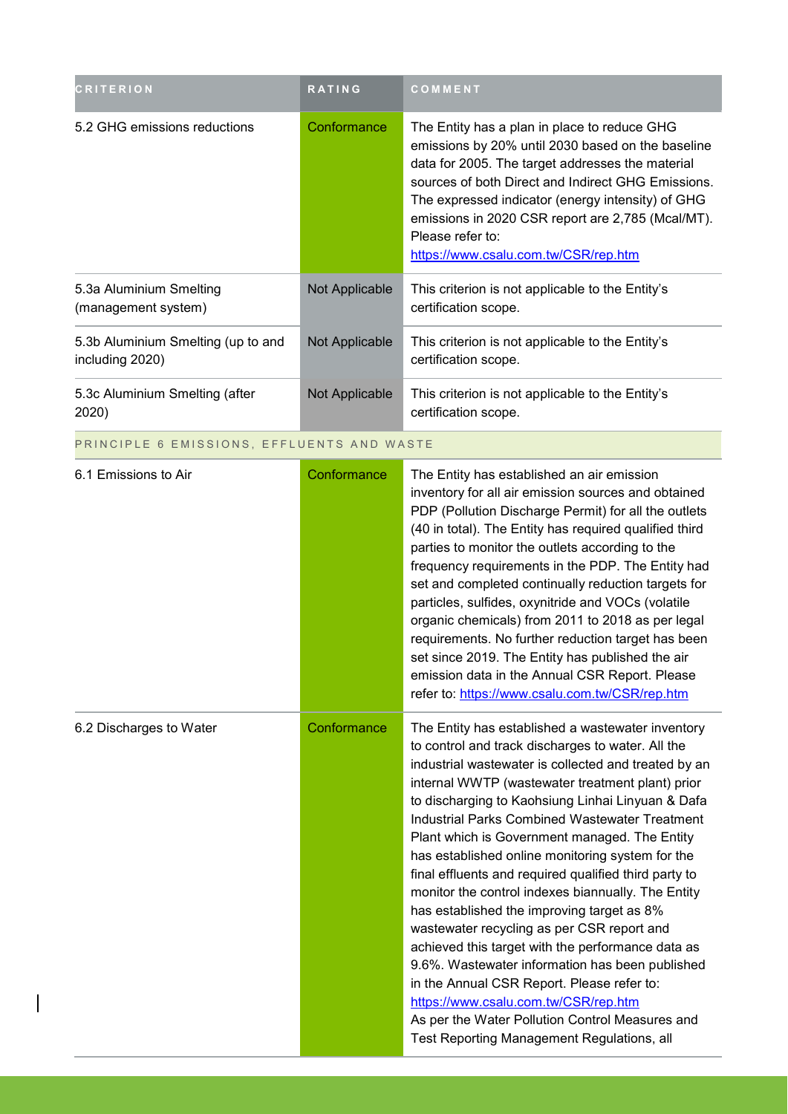| <b>CRITERION</b>                                      | <b>RATING</b>  | COMMENT                                                                                                                                                                                                                                                                                                                                                                                                                                                                                                                                                                                                                                                                                                                                                                                                                                                                                                                                         |
|-------------------------------------------------------|----------------|-------------------------------------------------------------------------------------------------------------------------------------------------------------------------------------------------------------------------------------------------------------------------------------------------------------------------------------------------------------------------------------------------------------------------------------------------------------------------------------------------------------------------------------------------------------------------------------------------------------------------------------------------------------------------------------------------------------------------------------------------------------------------------------------------------------------------------------------------------------------------------------------------------------------------------------------------|
| 5.2 GHG emissions reductions                          | Conformance    | The Entity has a plan in place to reduce GHG<br>emissions by 20% until 2030 based on the baseline<br>data for 2005. The target addresses the material<br>sources of both Direct and Indirect GHG Emissions.<br>The expressed indicator (energy intensity) of GHG<br>emissions in 2020 CSR report are 2,785 (Mcal/MT).<br>Please refer to:<br>https://www.csalu.com.tw/CSR/rep.htm                                                                                                                                                                                                                                                                                                                                                                                                                                                                                                                                                               |
| 5.3a Aluminium Smelting<br>(management system)        | Not Applicable | This criterion is not applicable to the Entity's<br>certification scope.                                                                                                                                                                                                                                                                                                                                                                                                                                                                                                                                                                                                                                                                                                                                                                                                                                                                        |
| 5.3b Aluminium Smelting (up to and<br>including 2020) | Not Applicable | This criterion is not applicable to the Entity's<br>certification scope.                                                                                                                                                                                                                                                                                                                                                                                                                                                                                                                                                                                                                                                                                                                                                                                                                                                                        |
| 5.3c Aluminium Smelting (after<br>2020)               | Not Applicable | This criterion is not applicable to the Entity's<br>certification scope.                                                                                                                                                                                                                                                                                                                                                                                                                                                                                                                                                                                                                                                                                                                                                                                                                                                                        |
| PRINCIPLE 6 EMISSIONS, EFFLUENTS AND WASTE            |                |                                                                                                                                                                                                                                                                                                                                                                                                                                                                                                                                                                                                                                                                                                                                                                                                                                                                                                                                                 |
| 6.1 Emissions to Air                                  | Conformance    | The Entity has established an air emission<br>inventory for all air emission sources and obtained<br>PDP (Pollution Discharge Permit) for all the outlets<br>(40 in total). The Entity has required qualified third<br>parties to monitor the outlets according to the<br>frequency requirements in the PDP. The Entity had<br>set and completed continually reduction targets for<br>particles, sulfides, oxynitride and VOCs (volatile<br>organic chemicals) from 2011 to 2018 as per legal<br>requirements. No further reduction target has been<br>set since 2019. The Entity has published the air<br>emission data in the Annual CSR Report. Please<br>refer to: https://www.csalu.com.tw/CSR/rep.htm                                                                                                                                                                                                                                     |
| 6.2 Discharges to Water                               | Conformance    | The Entity has established a wastewater inventory<br>to control and track discharges to water. All the<br>industrial wastewater is collected and treated by an<br>internal WWTP (wastewater treatment plant) prior<br>to discharging to Kaohsiung Linhai Linyuan & Dafa<br><b>Industrial Parks Combined Wastewater Treatment</b><br>Plant which is Government managed. The Entity<br>has established online monitoring system for the<br>final effluents and required qualified third party to<br>monitor the control indexes biannually. The Entity<br>has established the improving target as 8%<br>wastewater recycling as per CSR report and<br>achieved this target with the performance data as<br>9.6%. Wastewater information has been published<br>in the Annual CSR Report. Please refer to:<br>https://www.csalu.com.tw/CSR/rep.htm<br>As per the Water Pollution Control Measures and<br>Test Reporting Management Regulations, all |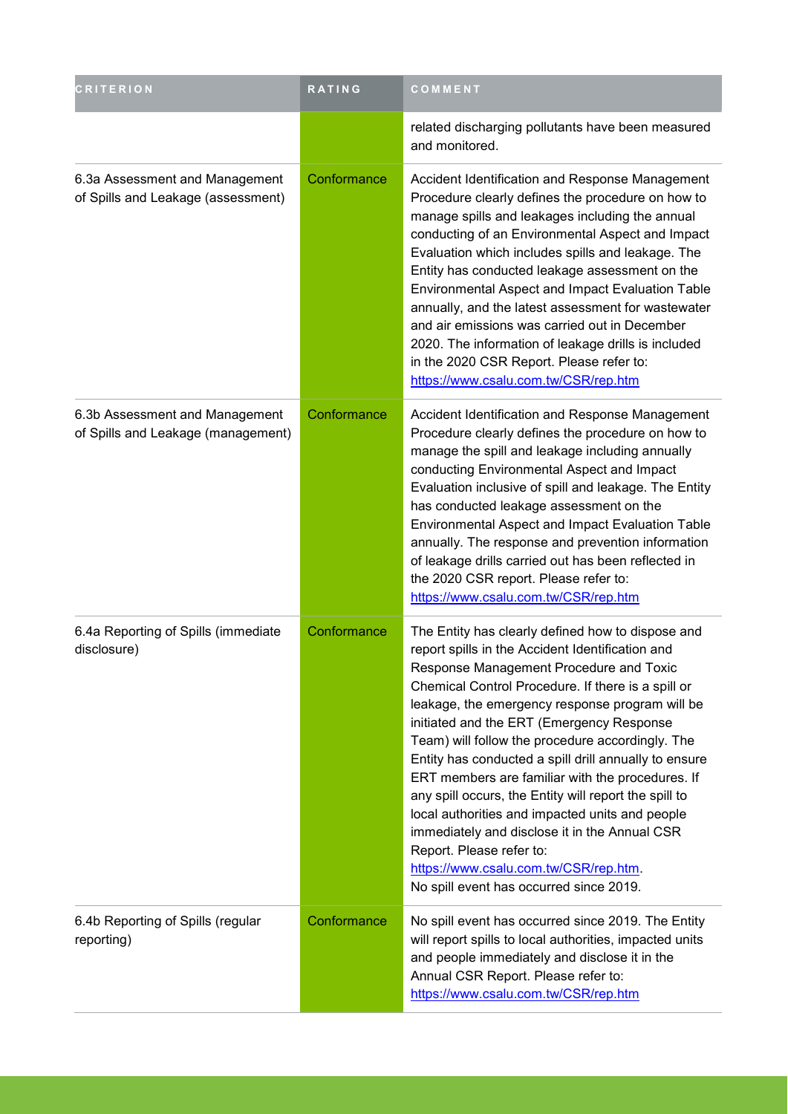| <b>CRITERION</b>                                                     | RATING      | COMMENT                                                                                                                                                                                                                                                                                                                                                                                                                                                                                                                                                                                                                                                                                                                                              |
|----------------------------------------------------------------------|-------------|------------------------------------------------------------------------------------------------------------------------------------------------------------------------------------------------------------------------------------------------------------------------------------------------------------------------------------------------------------------------------------------------------------------------------------------------------------------------------------------------------------------------------------------------------------------------------------------------------------------------------------------------------------------------------------------------------------------------------------------------------|
|                                                                      |             | related discharging pollutants have been measured<br>and monitored.                                                                                                                                                                                                                                                                                                                                                                                                                                                                                                                                                                                                                                                                                  |
| 6.3a Assessment and Management<br>of Spills and Leakage (assessment) | Conformance | Accident Identification and Response Management<br>Procedure clearly defines the procedure on how to<br>manage spills and leakages including the annual<br>conducting of an Environmental Aspect and Impact<br>Evaluation which includes spills and leakage. The<br>Entity has conducted leakage assessment on the<br>Environmental Aspect and Impact Evaluation Table<br>annually, and the latest assessment for wastewater<br>and air emissions was carried out in December<br>2020. The information of leakage drills is included<br>in the 2020 CSR Report. Please refer to:<br>https://www.csalu.com.tw/CSR/rep.htm                                                                                                                             |
| 6.3b Assessment and Management<br>of Spills and Leakage (management) | Conformance | Accident Identification and Response Management<br>Procedure clearly defines the procedure on how to<br>manage the spill and leakage including annually<br>conducting Environmental Aspect and Impact<br>Evaluation inclusive of spill and leakage. The Entity<br>has conducted leakage assessment on the<br>Environmental Aspect and Impact Evaluation Table<br>annually. The response and prevention information<br>of leakage drills carried out has been reflected in<br>the 2020 CSR report. Please refer to:<br>https://www.csalu.com.tw/CSR/rep.htm                                                                                                                                                                                           |
| 6.4a Reporting of Spills (immediate<br>disclosure)                   | Conformance | The Entity has clearly defined how to dispose and<br>report spills in the Accident Identification and<br>Response Management Procedure and Toxic<br>Chemical Control Procedure. If there is a spill or<br>leakage, the emergency response program will be<br>initiated and the ERT (Emergency Response<br>Team) will follow the procedure accordingly. The<br>Entity has conducted a spill drill annually to ensure<br>ERT members are familiar with the procedures. If<br>any spill occurs, the Entity will report the spill to<br>local authorities and impacted units and people<br>immediately and disclose it in the Annual CSR<br>Report. Please refer to:<br>https://www.csalu.com.tw/CSR/rep.htm.<br>No spill event has occurred since 2019. |
| 6.4b Reporting of Spills (regular<br>reporting)                      | Conformance | No spill event has occurred since 2019. The Entity<br>will report spills to local authorities, impacted units<br>and people immediately and disclose it in the<br>Annual CSR Report. Please refer to:<br>https://www.csalu.com.tw/CSR/rep.htm                                                                                                                                                                                                                                                                                                                                                                                                                                                                                                        |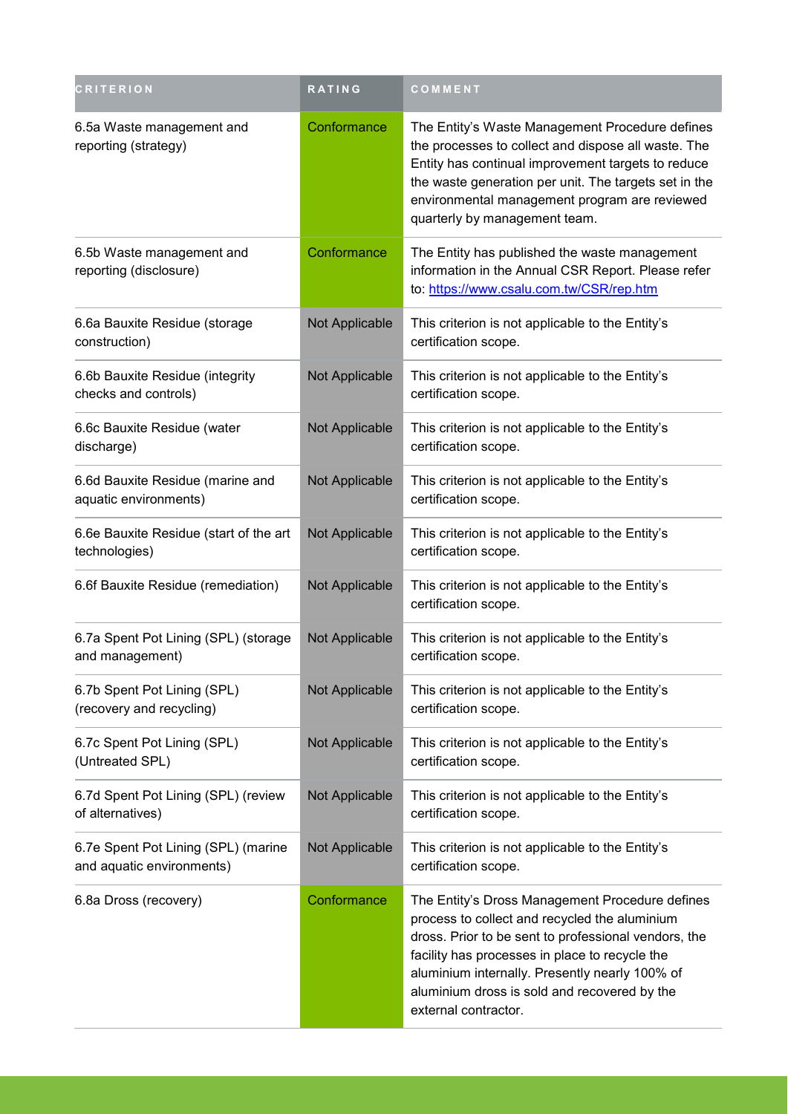| <b>CRITERION</b>                                                 | RATING         | COMMENT                                                                                                                                                                                                                                                                                                                              |
|------------------------------------------------------------------|----------------|--------------------------------------------------------------------------------------------------------------------------------------------------------------------------------------------------------------------------------------------------------------------------------------------------------------------------------------|
| 6.5a Waste management and<br>reporting (strategy)                | Conformance    | The Entity's Waste Management Procedure defines<br>the processes to collect and dispose all waste. The<br>Entity has continual improvement targets to reduce<br>the waste generation per unit. The targets set in the<br>environmental management program are reviewed<br>quarterly by management team.                              |
| 6.5b Waste management and<br>reporting (disclosure)              | Conformance    | The Entity has published the waste management<br>information in the Annual CSR Report. Please refer<br>to: https://www.csalu.com.tw/CSR/rep.htm                                                                                                                                                                                      |
| 6.6a Bauxite Residue (storage<br>construction)                   | Not Applicable | This criterion is not applicable to the Entity's<br>certification scope.                                                                                                                                                                                                                                                             |
| 6.6b Bauxite Residue (integrity<br>checks and controls)          | Not Applicable | This criterion is not applicable to the Entity's<br>certification scope.                                                                                                                                                                                                                                                             |
| 6.6c Bauxite Residue (water<br>discharge)                        | Not Applicable | This criterion is not applicable to the Entity's<br>certification scope.                                                                                                                                                                                                                                                             |
| 6.6d Bauxite Residue (marine and<br>aquatic environments)        | Not Applicable | This criterion is not applicable to the Entity's<br>certification scope.                                                                                                                                                                                                                                                             |
| 6.6e Bauxite Residue (start of the art<br>technologies)          | Not Applicable | This criterion is not applicable to the Entity's<br>certification scope.                                                                                                                                                                                                                                                             |
| 6.6f Bauxite Residue (remediation)                               | Not Applicable | This criterion is not applicable to the Entity's<br>certification scope.                                                                                                                                                                                                                                                             |
| 6.7a Spent Pot Lining (SPL) (storage<br>and management)          | Not Applicable | This criterion is not applicable to the Entity's<br>certification scope.                                                                                                                                                                                                                                                             |
| 6.7b Spent Pot Lining (SPL)<br>(recovery and recycling)          | Not Applicable | This criterion is not applicable to the Entity's<br>certification scope.                                                                                                                                                                                                                                                             |
| 6.7c Spent Pot Lining (SPL)<br>(Untreated SPL)                   | Not Applicable | This criterion is not applicable to the Entity's<br>certification scope.                                                                                                                                                                                                                                                             |
| 6.7d Spent Pot Lining (SPL) (review<br>of alternatives)          | Not Applicable | This criterion is not applicable to the Entity's<br>certification scope.                                                                                                                                                                                                                                                             |
| 6.7e Spent Pot Lining (SPL) (marine<br>and aquatic environments) | Not Applicable | This criterion is not applicable to the Entity's<br>certification scope.                                                                                                                                                                                                                                                             |
| 6.8a Dross (recovery)                                            | Conformance    | The Entity's Dross Management Procedure defines<br>process to collect and recycled the aluminium<br>dross. Prior to be sent to professional vendors, the<br>facility has processes in place to recycle the<br>aluminium internally. Presently nearly 100% of<br>aluminium dross is sold and recovered by the<br>external contractor. |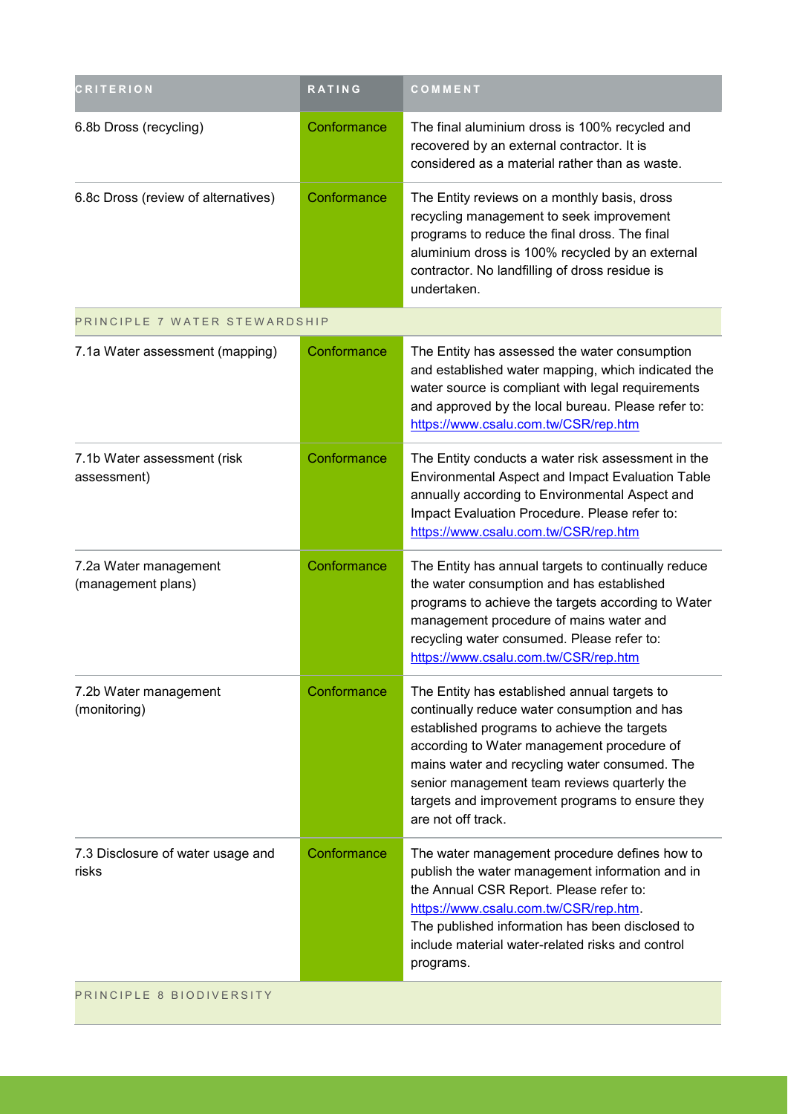| <b>CRITERION</b>                            | RATING      | COMMENT                                                                                                                                                                                                                                                                                                                                                             |
|---------------------------------------------|-------------|---------------------------------------------------------------------------------------------------------------------------------------------------------------------------------------------------------------------------------------------------------------------------------------------------------------------------------------------------------------------|
| 6.8b Dross (recycling)                      | Conformance | The final aluminium dross is 100% recycled and<br>recovered by an external contractor. It is<br>considered as a material rather than as waste.                                                                                                                                                                                                                      |
| 6.8c Dross (review of alternatives)         | Conformance | The Entity reviews on a monthly basis, dross<br>recycling management to seek improvement<br>programs to reduce the final dross. The final<br>aluminium dross is 100% recycled by an external<br>contractor. No landfilling of dross residue is<br>undertaken.                                                                                                       |
| PRINCIPLE 7 WATER STEWARDSHIP               |             |                                                                                                                                                                                                                                                                                                                                                                     |
| 7.1a Water assessment (mapping)             | Conformance | The Entity has assessed the water consumption<br>and established water mapping, which indicated the<br>water source is compliant with legal requirements<br>and approved by the local bureau. Please refer to:<br>https://www.csalu.com.tw/CSR/rep.htm                                                                                                              |
| 7.1b Water assessment (risk<br>assessment)  | Conformance | The Entity conducts a water risk assessment in the<br><b>Environmental Aspect and Impact Evaluation Table</b><br>annually according to Environmental Aspect and<br>Impact Evaluation Procedure. Please refer to:<br>https://www.csalu.com.tw/CSR/rep.htm                                                                                                            |
| 7.2a Water management<br>(management plans) | Conformance | The Entity has annual targets to continually reduce<br>the water consumption and has established<br>programs to achieve the targets according to Water<br>management procedure of mains water and<br>recycling water consumed. Please refer to:<br>https://www.csalu.com.tw/CSR/rep.htm                                                                             |
| 7.2b Water management<br>(monitoring)       | Conformance | The Entity has established annual targets to<br>continually reduce water consumption and has<br>established programs to achieve the targets<br>according to Water management procedure of<br>mains water and recycling water consumed. The<br>senior management team reviews quarterly the<br>targets and improvement programs to ensure they<br>are not off track. |
| 7.3 Disclosure of water usage and<br>risks  | Conformance | The water management procedure defines how to<br>publish the water management information and in<br>the Annual CSR Report. Please refer to:<br>https://www.csalu.com.tw/CSR/rep.htm.<br>The published information has been disclosed to<br>include material water-related risks and control<br>programs.                                                            |
| PRINCIPLE 8 BIODIVERSITY                    |             |                                                                                                                                                                                                                                                                                                                                                                     |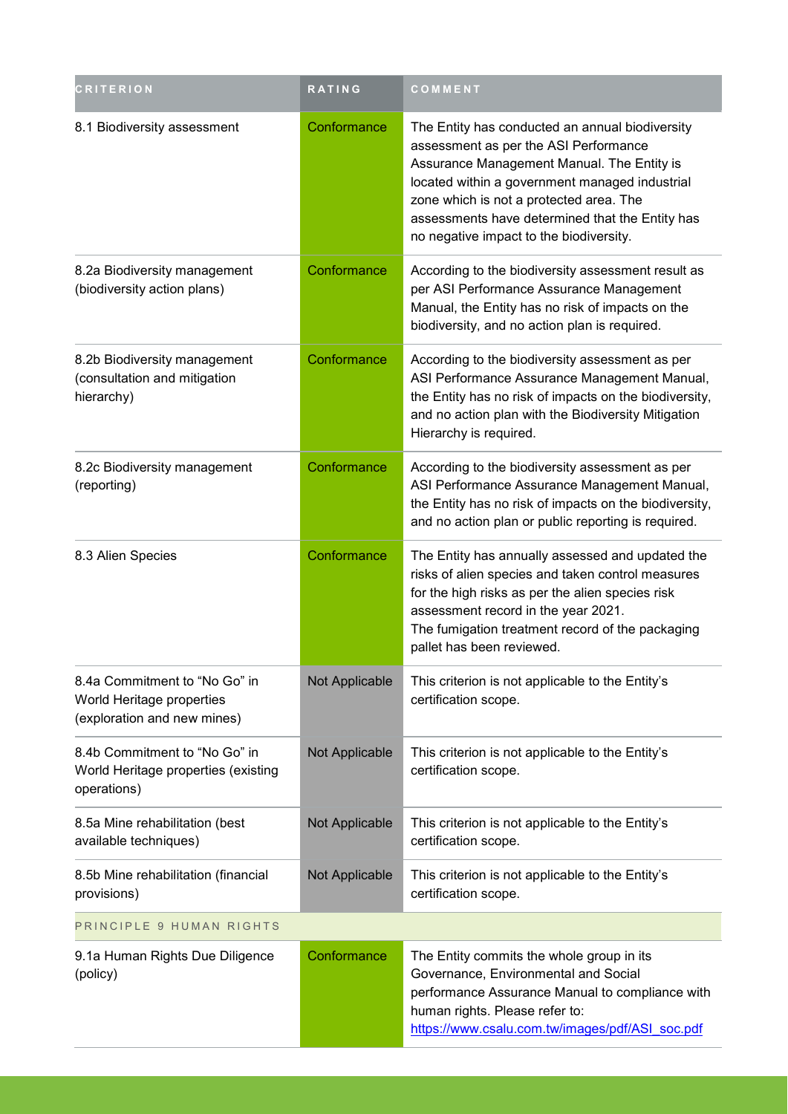| <b>CRITERION</b>                                                                          | <b>RATING</b>  | COMMENT                                                                                                                                                                                                                                                                                                                           |  |
|-------------------------------------------------------------------------------------------|----------------|-----------------------------------------------------------------------------------------------------------------------------------------------------------------------------------------------------------------------------------------------------------------------------------------------------------------------------------|--|
| 8.1 Biodiversity assessment                                                               | Conformance    | The Entity has conducted an annual biodiversity<br>assessment as per the ASI Performance<br>Assurance Management Manual. The Entity is<br>located within a government managed industrial<br>zone which is not a protected area. The<br>assessments have determined that the Entity has<br>no negative impact to the biodiversity. |  |
| 8.2a Biodiversity management<br>(biodiversity action plans)                               | Conformance    | According to the biodiversity assessment result as<br>per ASI Performance Assurance Management<br>Manual, the Entity has no risk of impacts on the<br>biodiversity, and no action plan is required.                                                                                                                               |  |
| 8.2b Biodiversity management<br>(consultation and mitigation<br>hierarchy)                | Conformance    | According to the biodiversity assessment as per<br>ASI Performance Assurance Management Manual,<br>the Entity has no risk of impacts on the biodiversity,<br>and no action plan with the Biodiversity Mitigation<br>Hierarchy is required.                                                                                        |  |
| 8.2c Biodiversity management<br>(reporting)                                               | Conformance    | According to the biodiversity assessment as per<br>ASI Performance Assurance Management Manual,<br>the Entity has no risk of impacts on the biodiversity,<br>and no action plan or public reporting is required.                                                                                                                  |  |
| 8.3 Alien Species                                                                         | Conformance    | The Entity has annually assessed and updated the<br>risks of alien species and taken control measures<br>for the high risks as per the alien species risk<br>assessment record in the year 2021.<br>The fumigation treatment record of the packaging<br>pallet has been reviewed.                                                 |  |
| 8.4a Commitment to "No Go" in<br>World Heritage properties<br>(exploration and new mines) | Not Applicable | This criterion is not applicable to the Entity's<br>certification scope.                                                                                                                                                                                                                                                          |  |
| 8.4b Commitment to "No Go" in<br>World Heritage properties (existing<br>operations)       | Not Applicable | This criterion is not applicable to the Entity's<br>certification scope.                                                                                                                                                                                                                                                          |  |
| 8.5a Mine rehabilitation (best<br>available techniques)                                   | Not Applicable | This criterion is not applicable to the Entity's<br>certification scope.                                                                                                                                                                                                                                                          |  |
| 8.5b Mine rehabilitation (financial<br>provisions)                                        | Not Applicable | This criterion is not applicable to the Entity's<br>certification scope.                                                                                                                                                                                                                                                          |  |
| PRINCIPLE 9 HUMAN RIGHTS                                                                  |                |                                                                                                                                                                                                                                                                                                                                   |  |
| 9.1a Human Rights Due Diligence<br>(policy)                                               | Conformance    | The Entity commits the whole group in its<br>Governance, Environmental and Social<br>performance Assurance Manual to compliance with<br>human rights. Please refer to:<br>https://www.csalu.com.tw/images/pdf/ASI_soc.pdf                                                                                                         |  |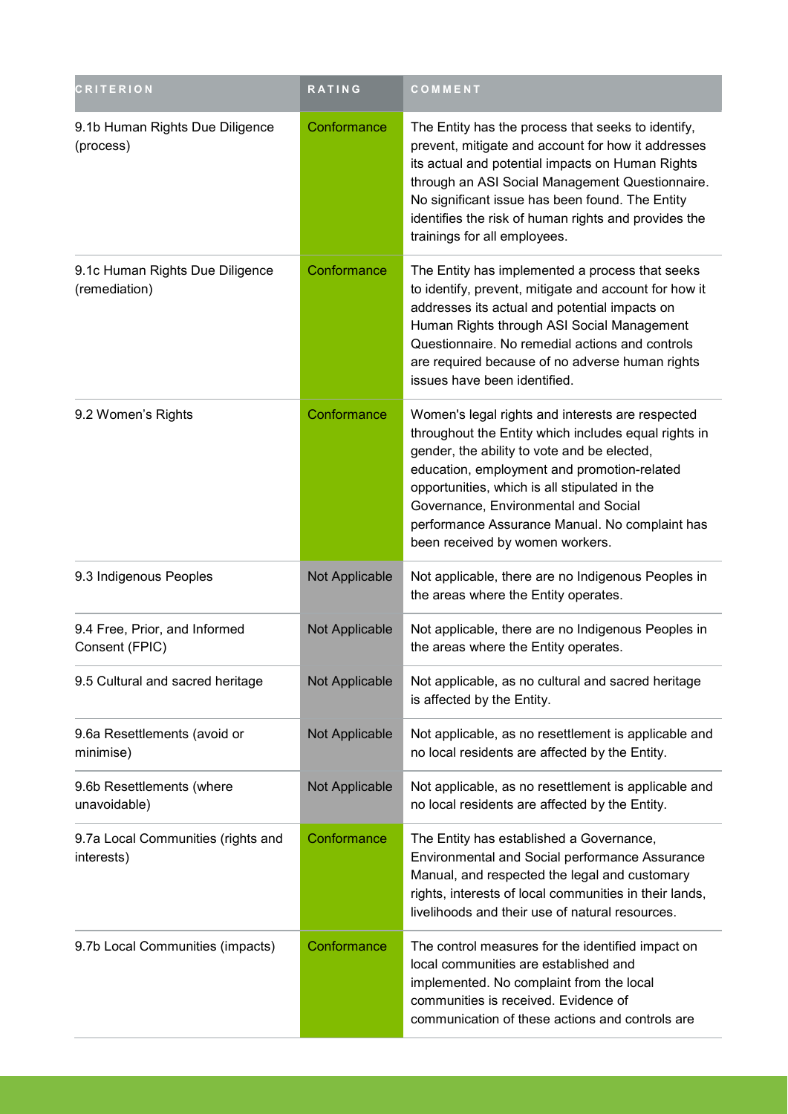| <b>CRITERION</b>                                 | <b>RATING</b>  | COMMENT                                                                                                                                                                                                                                                                                                                                                                              |
|--------------------------------------------------|----------------|--------------------------------------------------------------------------------------------------------------------------------------------------------------------------------------------------------------------------------------------------------------------------------------------------------------------------------------------------------------------------------------|
| 9.1b Human Rights Due Diligence<br>(process)     | Conformance    | The Entity has the process that seeks to identify,<br>prevent, mitigate and account for how it addresses<br>its actual and potential impacts on Human Rights<br>through an ASI Social Management Questionnaire.<br>No significant issue has been found. The Entity<br>identifies the risk of human rights and provides the<br>trainings for all employees.                           |
| 9.1c Human Rights Due Diligence<br>(remediation) | Conformance    | The Entity has implemented a process that seeks<br>to identify, prevent, mitigate and account for how it<br>addresses its actual and potential impacts on<br>Human Rights through ASI Social Management<br>Questionnaire. No remedial actions and controls<br>are required because of no adverse human rights<br>issues have been identified.                                        |
| 9.2 Women's Rights                               | Conformance    | Women's legal rights and interests are respected<br>throughout the Entity which includes equal rights in<br>gender, the ability to vote and be elected,<br>education, employment and promotion-related<br>opportunities, which is all stipulated in the<br>Governance, Environmental and Social<br>performance Assurance Manual. No complaint has<br>been received by women workers. |
| 9.3 Indigenous Peoples                           | Not Applicable | Not applicable, there are no Indigenous Peoples in<br>the areas where the Entity operates.                                                                                                                                                                                                                                                                                           |
| 9.4 Free, Prior, and Informed<br>Consent (FPIC)  | Not Applicable | Not applicable, there are no Indigenous Peoples in<br>the areas where the Entity operates.                                                                                                                                                                                                                                                                                           |
| 9.5 Cultural and sacred heritage                 | Not Applicable | Not applicable, as no cultural and sacred heritage<br>is affected by the Entity.                                                                                                                                                                                                                                                                                                     |
| 9.6a Resettlements (avoid or<br>minimise)        | Not Applicable | Not applicable, as no resettlement is applicable and<br>no local residents are affected by the Entity.                                                                                                                                                                                                                                                                               |
| 9.6b Resettlements (where<br>unavoidable)        | Not Applicable | Not applicable, as no resettlement is applicable and<br>no local residents are affected by the Entity.                                                                                                                                                                                                                                                                               |
| 9.7a Local Communities (rights and<br>interests) | Conformance    | The Entity has established a Governance,<br>Environmental and Social performance Assurance<br>Manual, and respected the legal and customary<br>rights, interests of local communities in their lands,<br>livelihoods and their use of natural resources.                                                                                                                             |
| 9.7b Local Communities (impacts)                 | Conformance    | The control measures for the identified impact on<br>local communities are established and<br>implemented. No complaint from the local<br>communities is received. Evidence of<br>communication of these actions and controls are                                                                                                                                                    |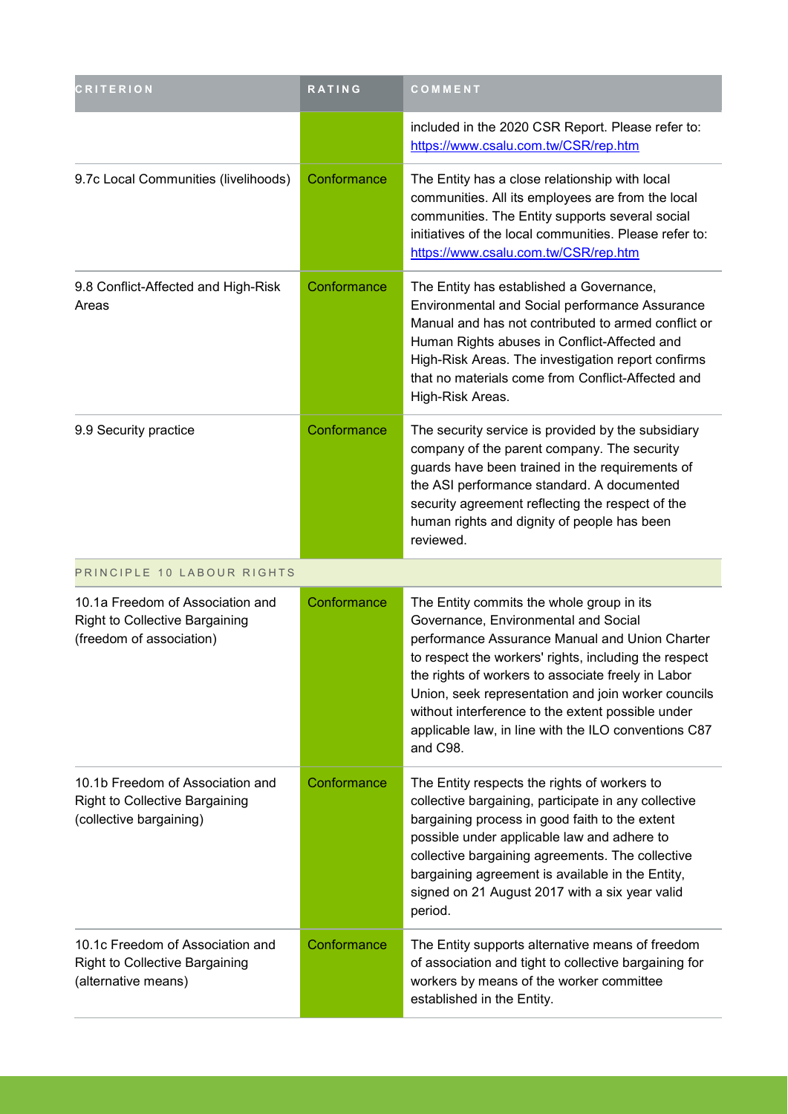| <b>CRITERION</b>                                                                                      | <b>RATING</b> | COMMENT                                                                                                                                                                                                                                                                                                                                                                                                                            |
|-------------------------------------------------------------------------------------------------------|---------------|------------------------------------------------------------------------------------------------------------------------------------------------------------------------------------------------------------------------------------------------------------------------------------------------------------------------------------------------------------------------------------------------------------------------------------|
|                                                                                                       |               | included in the 2020 CSR Report. Please refer to:<br>https://www.csalu.com.tw/CSR/rep.htm                                                                                                                                                                                                                                                                                                                                          |
| 9.7c Local Communities (livelihoods)                                                                  | Conformance   | The Entity has a close relationship with local<br>communities. All its employees are from the local<br>communities. The Entity supports several social<br>initiatives of the local communities. Please refer to:<br>https://www.csalu.com.tw/CSR/rep.htm                                                                                                                                                                           |
| 9.8 Conflict-Affected and High-Risk<br>Areas                                                          | Conformance   | The Entity has established a Governance,<br>Environmental and Social performance Assurance<br>Manual and has not contributed to armed conflict or<br>Human Rights abuses in Conflict-Affected and<br>High-Risk Areas. The investigation report confirms<br>that no materials come from Conflict-Affected and<br>High-Risk Areas.                                                                                                   |
| 9.9 Security practice                                                                                 | Conformance   | The security service is provided by the subsidiary<br>company of the parent company. The security<br>guards have been trained in the requirements of<br>the ASI performance standard. A documented<br>security agreement reflecting the respect of the<br>human rights and dignity of people has been<br>reviewed.                                                                                                                 |
| PRINCIPLE 10 LABOUR RIGHTS                                                                            |               |                                                                                                                                                                                                                                                                                                                                                                                                                                    |
| 10.1a Freedom of Association and<br><b>Right to Collective Bargaining</b><br>(freedom of association) | Conformance   | The Entity commits the whole group in its<br>Governance, Environmental and Social<br>performance Assurance Manual and Union Charter<br>to respect the workers' rights, including the respect<br>the rights of workers to associate freely in Labor<br>Union, seek representation and join worker councils<br>without interference to the extent possible under<br>applicable law, in line with the ILO conventions C87<br>and C98. |
| 10.1b Freedom of Association and<br><b>Right to Collective Bargaining</b><br>(collective bargaining)  | Conformance   | The Entity respects the rights of workers to<br>collective bargaining, participate in any collective<br>bargaining process in good faith to the extent<br>possible under applicable law and adhere to<br>collective bargaining agreements. The collective<br>bargaining agreement is available in the Entity,<br>signed on 21 August 2017 with a six year valid<br>period.                                                         |
| 10.1c Freedom of Association and<br><b>Right to Collective Bargaining</b><br>(alternative means)      | Conformance   | The Entity supports alternative means of freedom<br>of association and tight to collective bargaining for<br>workers by means of the worker committee<br>established in the Entity.                                                                                                                                                                                                                                                |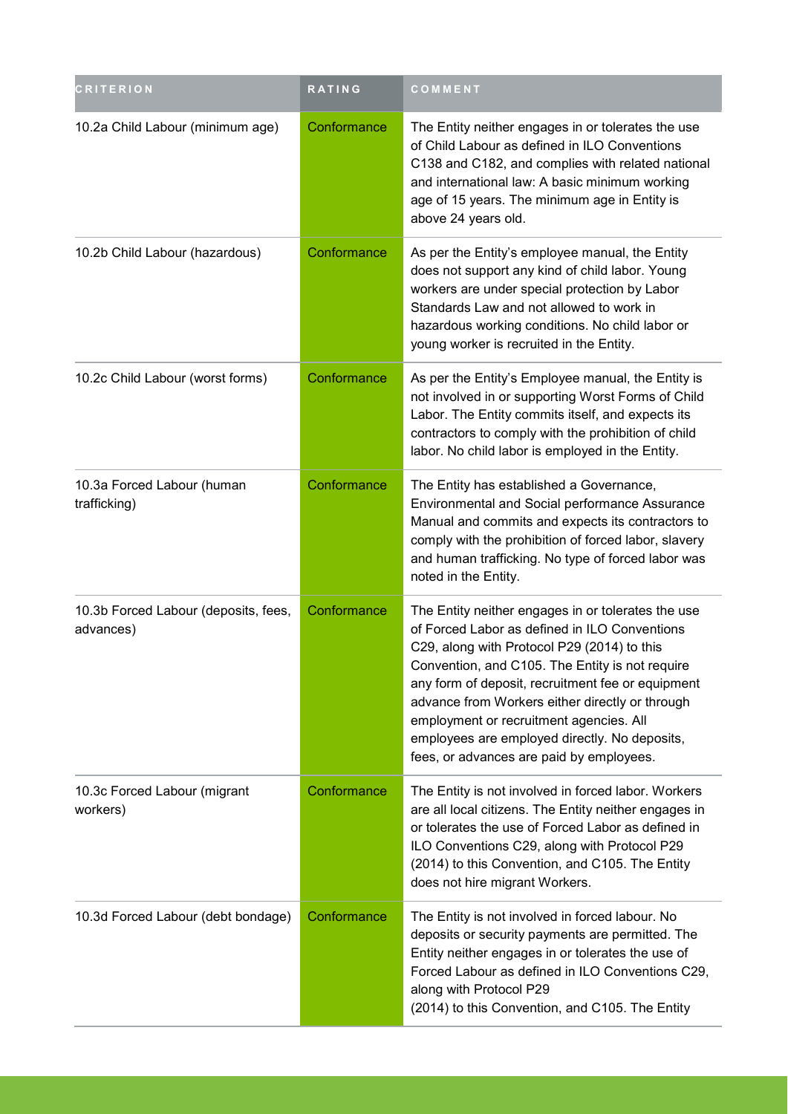| <b>CRITERION</b>                                  | RATING      | COMMENT                                                                                                                                                                                                                                                                                                                                                                                                                                               |
|---------------------------------------------------|-------------|-------------------------------------------------------------------------------------------------------------------------------------------------------------------------------------------------------------------------------------------------------------------------------------------------------------------------------------------------------------------------------------------------------------------------------------------------------|
| 10.2a Child Labour (minimum age)                  | Conformance | The Entity neither engages in or tolerates the use<br>of Child Labour as defined in ILO Conventions<br>C138 and C182, and complies with related national<br>and international law: A basic minimum working<br>age of 15 years. The minimum age in Entity is<br>above 24 years old.                                                                                                                                                                    |
| 10.2b Child Labour (hazardous)                    | Conformance | As per the Entity's employee manual, the Entity<br>does not support any kind of child labor. Young<br>workers are under special protection by Labor<br>Standards Law and not allowed to work in<br>hazardous working conditions. No child labor or<br>young worker is recruited in the Entity.                                                                                                                                                        |
| 10.2c Child Labour (worst forms)                  | Conformance | As per the Entity's Employee manual, the Entity is<br>not involved in or supporting Worst Forms of Child<br>Labor. The Entity commits itself, and expects its<br>contractors to comply with the prohibition of child<br>labor. No child labor is employed in the Entity.                                                                                                                                                                              |
| 10.3a Forced Labour (human<br>trafficking)        | Conformance | The Entity has established a Governance,<br>Environmental and Social performance Assurance<br>Manual and commits and expects its contractors to<br>comply with the prohibition of forced labor, slavery<br>and human trafficking. No type of forced labor was<br>noted in the Entity.                                                                                                                                                                 |
| 10.3b Forced Labour (deposits, fees,<br>advances) | Conformance | The Entity neither engages in or tolerates the use<br>of Forced Labor as defined in ILO Conventions<br>C29, along with Protocol P29 (2014) to this<br>Convention, and C105. The Entity is not require<br>any form of deposit, recruitment fee or equipment<br>advance from Workers either directly or through<br>employment or recruitment agencies. All<br>employees are employed directly. No deposits,<br>fees, or advances are paid by employees. |
| 10.3c Forced Labour (migrant<br>workers)          | Conformance | The Entity is not involved in forced labor. Workers<br>are all local citizens. The Entity neither engages in<br>or tolerates the use of Forced Labor as defined in<br>ILO Conventions C29, along with Protocol P29<br>(2014) to this Convention, and C105. The Entity<br>does not hire migrant Workers.                                                                                                                                               |
| 10.3d Forced Labour (debt bondage)                | Conformance | The Entity is not involved in forced labour. No<br>deposits or security payments are permitted. The<br>Entity neither engages in or tolerates the use of<br>Forced Labour as defined in ILO Conventions C29,<br>along with Protocol P29<br>(2014) to this Convention, and C105. The Entity                                                                                                                                                            |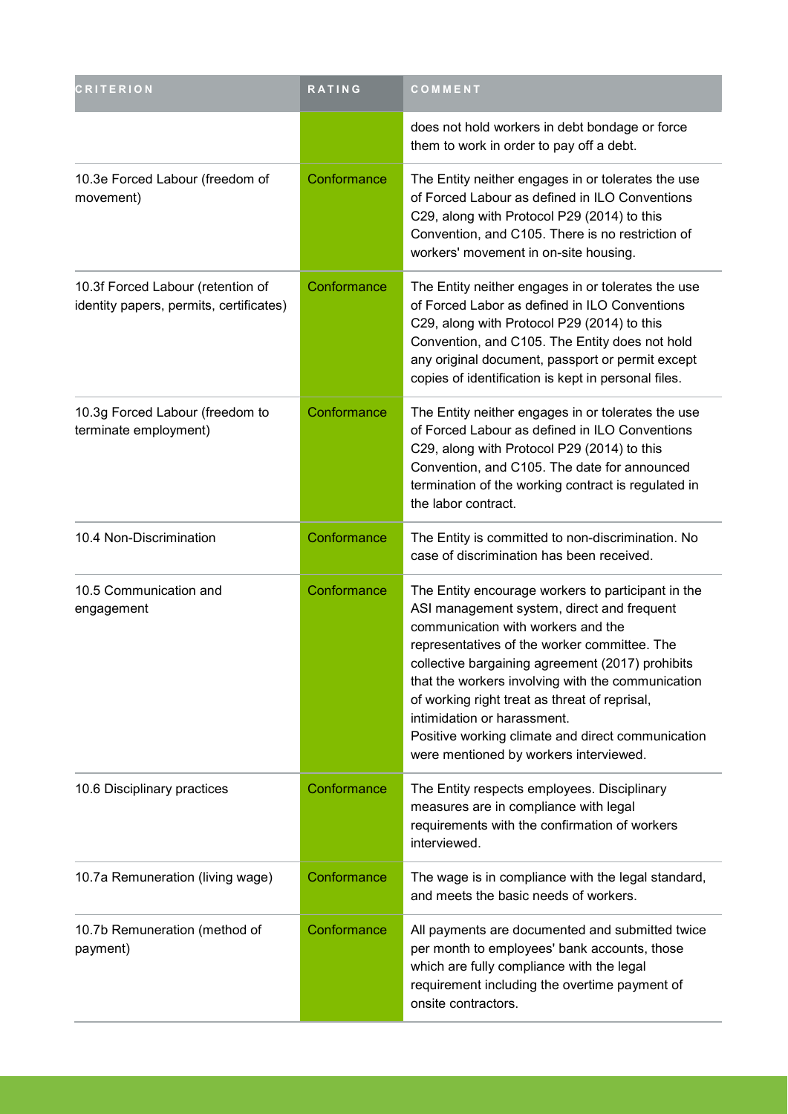| <b>CRITERION</b>                                                             | RATING      | COMMENT                                                                                                                                                                                                                                                                                                                                                                                                                                                                        |
|------------------------------------------------------------------------------|-------------|--------------------------------------------------------------------------------------------------------------------------------------------------------------------------------------------------------------------------------------------------------------------------------------------------------------------------------------------------------------------------------------------------------------------------------------------------------------------------------|
|                                                                              |             | does not hold workers in debt bondage or force<br>them to work in order to pay off a debt.                                                                                                                                                                                                                                                                                                                                                                                     |
| 10.3e Forced Labour (freedom of<br>movement)                                 | Conformance | The Entity neither engages in or tolerates the use<br>of Forced Labour as defined in ILO Conventions<br>C29, along with Protocol P29 (2014) to this<br>Convention, and C105. There is no restriction of<br>workers' movement in on-site housing.                                                                                                                                                                                                                               |
| 10.3f Forced Labour (retention of<br>identity papers, permits, certificates) | Conformance | The Entity neither engages in or tolerates the use<br>of Forced Labor as defined in ILO Conventions<br>C29, along with Protocol P29 (2014) to this<br>Convention, and C105. The Entity does not hold<br>any original document, passport or permit except<br>copies of identification is kept in personal files.                                                                                                                                                                |
| 10.3g Forced Labour (freedom to<br>terminate employment)                     | Conformance | The Entity neither engages in or tolerates the use<br>of Forced Labour as defined in ILO Conventions<br>C29, along with Protocol P29 (2014) to this<br>Convention, and C105. The date for announced<br>termination of the working contract is regulated in<br>the labor contract.                                                                                                                                                                                              |
| 10.4 Non-Discrimination                                                      | Conformance | The Entity is committed to non-discrimination. No<br>case of discrimination has been received.                                                                                                                                                                                                                                                                                                                                                                                 |
| 10.5 Communication and<br>engagement                                         | Conformance | The Entity encourage workers to participant in the<br>ASI management system, direct and frequent<br>communication with workers and the<br>representatives of the worker committee. The<br>collective bargaining agreement (2017) prohibits<br>that the workers involving with the communication<br>of working right treat as threat of reprisal,<br>intimidation or harassment.<br>Positive working climate and direct communication<br>were mentioned by workers interviewed. |
| 10.6 Disciplinary practices                                                  | Conformance | The Entity respects employees. Disciplinary<br>measures are in compliance with legal<br>requirements with the confirmation of workers<br>interviewed.                                                                                                                                                                                                                                                                                                                          |
| 10.7a Remuneration (living wage)                                             | Conformance | The wage is in compliance with the legal standard,<br>and meets the basic needs of workers.                                                                                                                                                                                                                                                                                                                                                                                    |
| 10.7b Remuneration (method of<br>payment)                                    | Conformance | All payments are documented and submitted twice<br>per month to employees' bank accounts, those<br>which are fully compliance with the legal<br>requirement including the overtime payment of<br>onsite contractors.                                                                                                                                                                                                                                                           |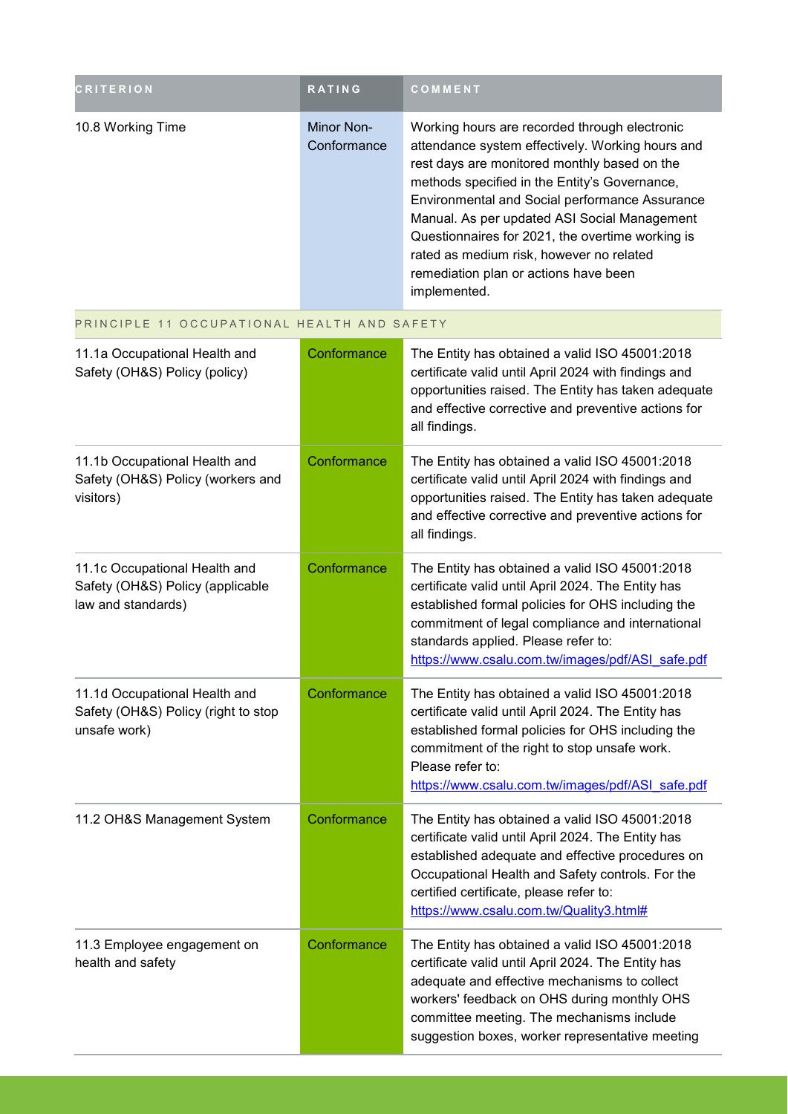| <b>CRITERION</b>  | <b>RATING</b>                    | <b>COMMENT</b>                                                                                                                                                                                                                                                                                                                                                                                                                                                |
|-------------------|----------------------------------|---------------------------------------------------------------------------------------------------------------------------------------------------------------------------------------------------------------------------------------------------------------------------------------------------------------------------------------------------------------------------------------------------------------------------------------------------------------|
| 10.8 Working Time | <b>Minor Non-</b><br>Conformance | Working hours are recorded through electronic<br>attendance system effectively. Working hours and<br>rest days are monitored monthly based on the<br>methods specified in the Entity's Governance,<br>Environmental and Social performance Assurance<br>Manual. As per updated ASI Social Management<br>Questionnaires for 2021, the overtime working is<br>rated as medium risk, however no related<br>remediation plan or actions have been<br>implemented. |

#### PRINCIPLE 11 OCCUPATIONAL HEALTH AND SAFETY

| 11.1a Occupational Health and<br>Safety (OH&S) Policy (policy)                          | Conformance | The Entity has obtained a valid ISO 45001:2018<br>certificate valid until April 2024 with findings and<br>opportunities raised. The Entity has taken adequate<br>and effective corrective and preventive actions for<br>all findings.                                                                    |
|-----------------------------------------------------------------------------------------|-------------|----------------------------------------------------------------------------------------------------------------------------------------------------------------------------------------------------------------------------------------------------------------------------------------------------------|
| 11.1b Occupational Health and<br>Safety (OH&S) Policy (workers and<br>visitors)         | Conformance | The Entity has obtained a valid ISO 45001:2018<br>certificate valid until April 2024 with findings and<br>opportunities raised. The Entity has taken adequate<br>and effective corrective and preventive actions for<br>all findings.                                                                    |
| 11.1c Occupational Health and<br>Safety (OH&S) Policy (applicable<br>law and standards) | Conformance | The Entity has obtained a valid ISO 45001:2018<br>certificate valid until April 2024. The Entity has<br>established formal policies for OHS including the<br>commitment of legal compliance and international<br>standards applied. Please refer to:<br>https://www.csalu.com.tw/images/pdf/ASI safe.pdf |
| 11.1d Occupational Health and<br>Safety (OH&S) Policy (right to stop<br>unsafe work)    | Conformance | The Entity has obtained a valid ISO 45001:2018<br>certificate valid until April 2024. The Entity has<br>established formal policies for OHS including the<br>commitment of the right to stop unsafe work.<br>Please refer to:<br>https://www.csalu.com.tw/images/pdf/ASI safe.pdf                        |
| 11.2 OH&S Management System                                                             | Conformance | The Entity has obtained a valid ISO 45001:2018<br>certificate valid until April 2024. The Entity has<br>established adequate and effective procedures on<br>Occupational Health and Safety controls. For the<br>certified certificate, please refer to:<br>https://www.csalu.com.tw/Quality3.html#       |
| 11.3 Employee engagement on<br>health and safety                                        | Conformance | The Entity has obtained a valid ISO 45001:2018<br>certificate valid until April 2024. The Entity has<br>adequate and effective mechanisms to collect<br>workers' feedback on OHS during monthly OHS<br>committee meeting. The mechanisms include<br>suggestion boxes, worker representative meeting      |